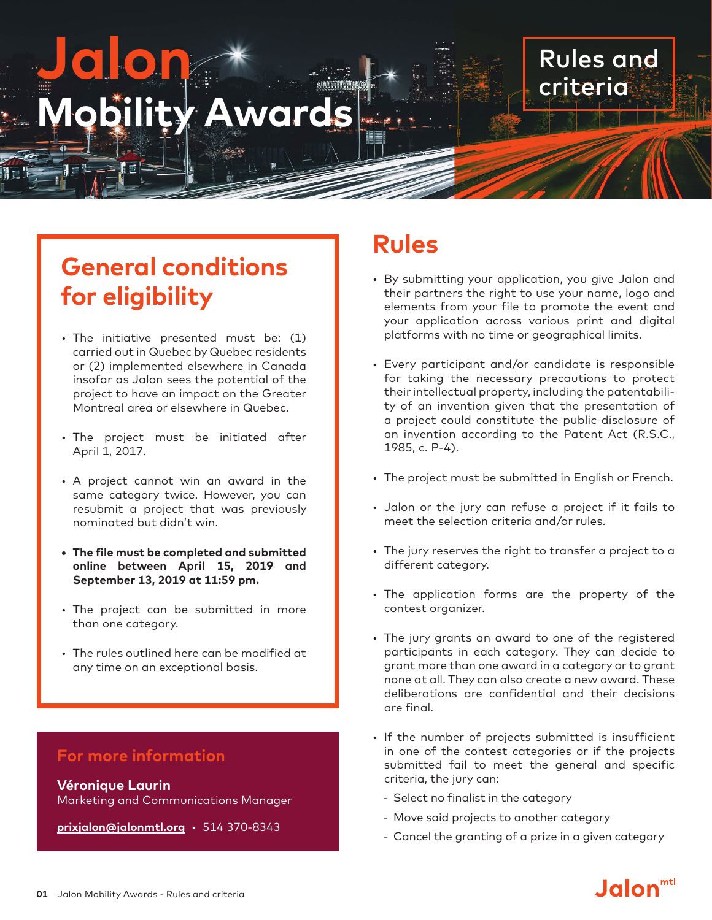# **Jalon Mobility Award**

# **General conditions for eligibility**

- The initiative presented must be: (1) carried out in Quebec by Quebec residents or (2) implemented elsewhere in Canada insofar as Jalon sees the potential of the project to have an impact on the Greater Montreal area or elsewhere in Quebec.
- The project must be initiated after April 1, 2017.
- A project cannot win an award in the same category twice. However, you can resubmit a project that was previously nominated but didn't win.
- **• The file must be completed and submitted online between April 15, 2019 and September 13, 2019 at 11:59 pm.**
- The project can be submitted in more than one category.
- The rules outlined here can be modified at any time on an exceptional basis.

## **For more information**

**Véronique Laurin** Marketing and Communications Manager

**prixjalon@jalonmtl.org** • 514 370-8343

# **Rules**

• By submitting your application, you give Jalon and their partners the right to use your name, logo and elements from your file to promote the event and your application across various print and digital platforms with no time or geographical limits.

Rules and

criteria

- Every participant and/or candidate is responsible for taking the necessary precautions to protect their intellectual property, including the patentability of an invention given that the presentation of a project could constitute the public disclosure of an invention according to the Patent Act (R.S.C., 1985, c. P-4).
- The project must be submitted in English or French.
- Jalon or the jury can refuse a project if it fails to meet the selection criteria and/or rules.
- The jury reserves the right to transfer a project to a different category.
- The application forms are the property of the contest organizer.
- The jury grants an award to one of the registered participants in each category. They can decide to grant more than one award in a category or to grant none at all. They can also create a new award. These deliberations are confidential and their decisions are final.
- If the number of projects submitted is insufficient in one of the contest categories or if the projects submitted fail to meet the general and specific criteria, the jury can:
	- Select no finalist in the category
	- Move said projects to another category
	- Cancel the granting of a prize in a given category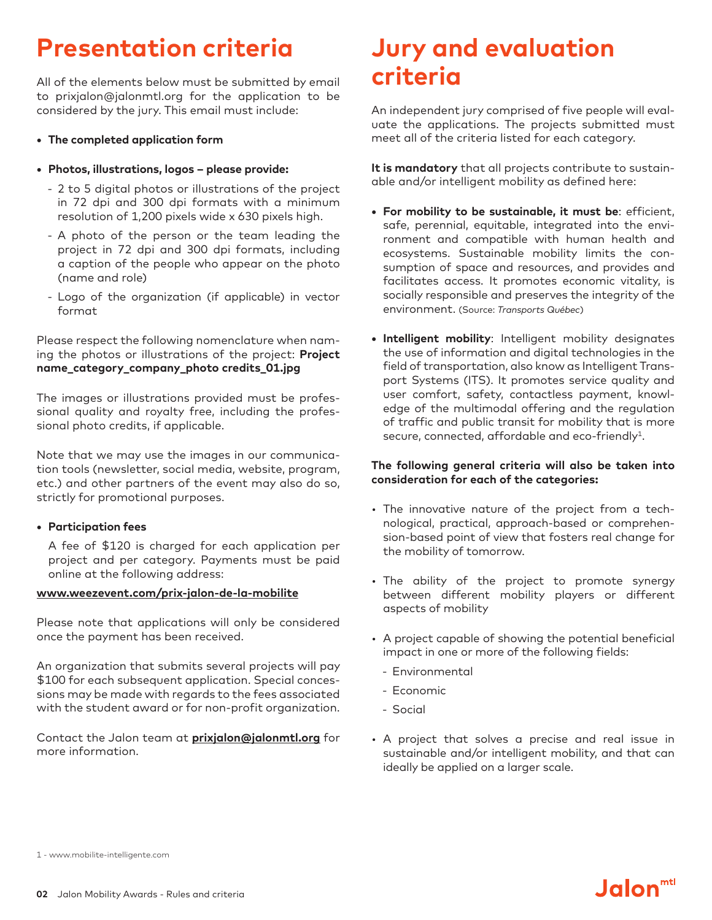# **Presentation criteria**

All of the elements below must be submitted by email to prixjalon@jalonmtl.org for the application to be considered by the jury. This email must include:

- **• The completed application form**
- **• Photos, illustrations, logos – please provide:**
	- 2 to 5 digital photos or illustrations of the project in 72 dpi and 300 dpi formats with a minimum resolution of 1,200 pixels wide x 630 pixels high.
	- A photo of the person or the team leading the project in 72 dpi and 300 dpi formats, including a caption of the people who appear on the photo (name and role)
	- Logo of the organization (if applicable) in vector format

Please respect the following nomenclature when naming the photos or illustrations of the project: **Project name\_category\_company\_photo credits\_01.jpg**

The images or illustrations provided must be professional quality and royalty free, including the professional photo credits, if applicable.

Note that we may use the images in our communication tools (newsletter, social media, website, program, etc.) and other partners of the event may also do so, strictly for promotional purposes.

#### **• Participation fees**

A fee of \$120 is charged for each application per project and per category. Payments must be paid online at the following address:

#### **[www.weezevent.com/prix-jalon-de-la-mobilite](https://www.weezevent.com/prix-jalon-de-la-mobilite)**

Please note that applications will only be considered once the payment has been received.

An organization that submits several projects will pay \$100 for each subsequent application. Special concessions may be made with regards to the fees associated with the student award or for non-profit organization.

Contact the Jalon team at **[prixjalon@jalonmtl.org](mailto:prixjalon@jalonmtl.org)** for more information.

# **Jury and evaluation criteria**

An independent jury comprised of five people will evaluate the applications. The projects submitted must meet all of the criteria listed for each category.

**It is mandatory** that all projects contribute to sustainable and/or intelligent mobility as defined here:

- **• For mobility to be sustainable, it must be**: efficient, safe, perennial, equitable, integrated into the environment and compatible with human health and ecosystems. Sustainable mobility limits the consumption of space and resources, and provides and facilitates access. It promotes economic vitality, is socially responsible and preserves the integrity of the environment. (Source: *Transports Québec*)
- **• Intelligent mobility**: Intelligent mobility designates the use of information and digital technologies in the field of transportation, also know as Intelligent Transport Systems (ITS). It promotes service quality and user comfort, safety, contactless payment, knowledge of the multimodal offering and the regulation of traffic and public transit for mobility that is more secure, connected, affordable and eco-friendly<sup>1</sup>.

#### **The following general criteria will also be taken into consideration for each of the categories:**

- The innovative nature of the project from a technological, practical, approach-based or comprehension-based point of view that fosters real change for the mobility of tomorrow.
- The ability of the project to promote synergy between different mobility players or different aspects of mobility
- A project capable of showing the potential beneficial impact in one or more of the following fields:
	- Environmental
	- Economic
	- Social
- A project that solves a precise and real issue in sustainable and/or intelligent mobility, and that can ideally be applied on a larger scale.

**Jalon**<sup>mtl</sup>

1 - [www.mobilite-intelligente.com](https://www.mobilite-intelligente.com)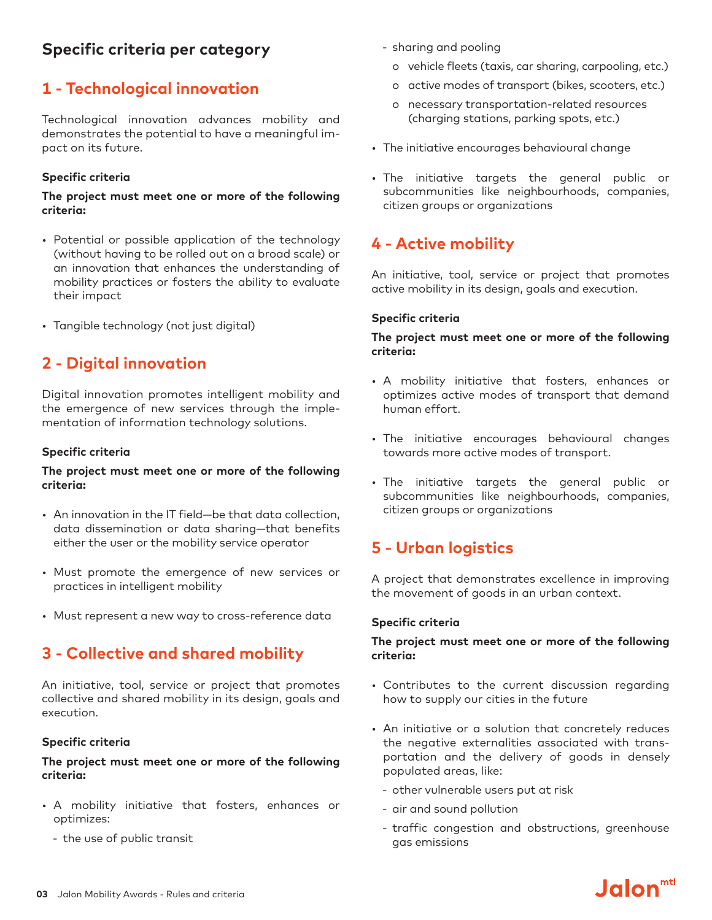# **Specific criteria per category**

# **1 - Technological innovation**

Technological innovation advances mobility and demonstrates the potential to have a meaningful impact on its future.

#### **Specific criteria**

#### **The project must meet one or more of the following criteria:**

- Potential or possible application of the technology (without having to be rolled out on a broad scale) or an innovation that enhances the understanding of mobility practices or fosters the ability to evaluate their impact
- • Tangible technology (not just digital)

# **2 - Digital innovation**

Digital innovation promotes intelligent mobility and the emergence of new services through the implementation of information technology solutions.

#### **Specific criteria**

#### **The project must meet one or more of the following criteria:**

- An innovation in the IT field—be that data collection, data dissemination or data sharing—that benefits either the user or the mobility service operator
- • Must promote the emergence of new services or practices in intelligent mobility
- Must represent a new way to cross-reference data

## **3 - Collective and shared mobility**

An initiative, tool, service or project that promotes collective and shared mobility in its design, goals and execution.

#### **Specific criteria**

#### **The project must meet one or more of the following criteria:**

- A mobility initiative that fosters, enhances or optimizes:
	- the use of public transit
- sharing and pooling
	- o vehicle fleets (taxis, car sharing, carpooling, etc.)
	- o active modes of transport (bikes, scooters, etc.)
	- o necessary transportation-related resources (charging stations, parking spots, etc.)
- The initiative encourages behavioural change
- • The initiative targets the general public or subcommunities like neighbourhoods, companies, citizen groups or organizations

# **4 - Active mobility**

An initiative, tool, service or project that promotes active mobility in its design, goals and execution.

#### **Specific criteria**

#### **The project must meet one or more of the following criteria:**

- A mobility initiative that fosters, enhances or optimizes active modes of transport that demand human effort.
- The initiative encourages behavioural changes towards more active modes of transport.
- The initiative targets the general public or subcommunities like neighbourhoods, companies, citizen groups or organizations

# **5 - Urban logistics**

A project that demonstrates excellence in improving the movement of goods in an urban context.

#### **Specific criteria**

#### **The project must meet one or more of the following criteria:**

- • Contributes to the current discussion regarding how to supply our cities in the future
- An initiative or a solution that concretely reduces the negative externalities associated with transportation and the delivery of goods in densely populated areas, like:
	- other vulnerable users put at risk
	- air and sound pollution
	- traffic congestion and obstructions, greenhouse gas emissions